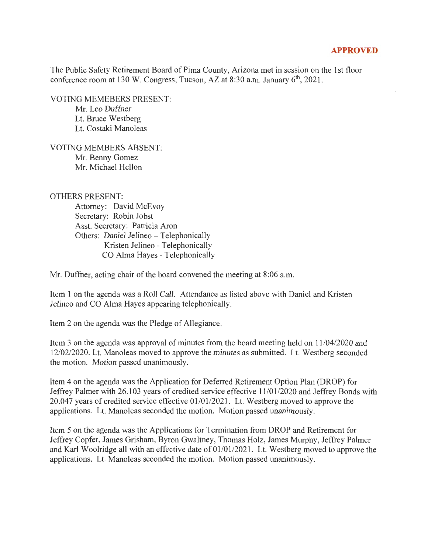## **APPROVED**

The Public Safety Retirement Board of Pima County, Arizona met in session on the 1st floor conference room at 130 W. Congress, Tucson, AZ at 8:30 a.m. January  $6<sup>th</sup>$ , 2021.

VOTING MEMEBERS PRESENT:

Mr. Leo Duffner Lt. Bruce Westberg Lt. Costaki Manoleas

VOTING MEMBERS ABSENT: Mr. Benny Gomez Mr. Michael Hellon

## OTHERS PRESENT:

Attorney: David McEvoy Secretary: Robin Jobst Asst. Secretary: Patricia Aron Others: Daniel Jelineo - Telephonically Kristen Jelineo - Telephonically CO Alma Hayes - Telephonically

Mr. Duffner, acting chair of the board convened the meeting at 8:06 a.m.

Item 1 on the agenda was a Roll Call. Attendance as listed above with Daniel and Kristen Jelineo and CO Alma Hayes appearing telephonically.

Item 2 on the agenda was the Pledge of Allegiance.

Item 3 on the agenda was approval of minutes from the board meeting held on 11 /04/2020 and 12/02/2020. Lt. Manoleas moved to approve the minutes as submitted. Lt. Westberg seconded the motion. Motion passed unanimously.

Item 4 on the agenda was the Application for Deferred Retirement Option Plan (DROP) for Jeffrey Palmer with 26.103 years of credited service effective 11/01/2020 and Jeffrey Bonds with 20.047 years of credited service effective  $01/01/2021$ . Lt. Westberg moved to approve the applications. Lt. Manoleas seconded the motion. Motion passed unanimously.

Item 5 on the agenda was the Applications for Termination from DROP and Retirement for Jeffrey Copfer, James Grisham, Byron Gwaltney, Thomas Holz, James Murphy, Jeffrey Palmer and Karl Woolridge all with an effective date of  $01/01/2021$ . Lt. Westberg moved to approve the applications. Lt. Manoleas seconded the motion. Motion passed unanimously.